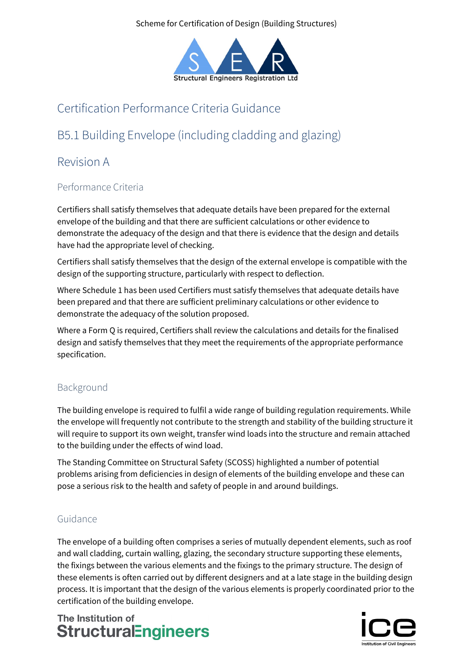Scheme for Certification of Design (Building Structures)



# Certification Performance Criteria Guidance

# B5.1 Building Envelope (including cladding and glazing)

## Revision A

### Performance Criteria

Certifiers shall satisfy themselves that adequate details have been prepared for the external envelope of the building and that there are sufficient calculations or other evidence to demonstrate the adequacy of the design and that there is evidence that the design and details have had the appropriate level of checking.

Certifiers shall satisfy themselves that the design of the external envelope is compatible with the design of the supporting structure, particularly with respect to deflection.

Where Schedule 1 has been used Certifiers must satisfy themselves that adequate details have been prepared and that there are sufficient preliminary calculations or other evidence to demonstrate the adequacy of the solution proposed.

Where a Form Q is required, Certifiers shall review the calculations and details for the finalised design and satisfy themselves that they meet the requirements of the appropriate performance specification.

### Background

The building envelope is required to fulfil a wide range of building regulation requirements. While the envelope will frequently not contribute to the strength and stability of the building structure it will require to support its own weight, transfer wind loads into the structure and remain attached to the building under the effects of wind load.

The Standing Committee on Structural Safety (SCOSS) highlighted a number of potential problems arising from deficiencies in design of elements of the building envelope and these can pose a serious risk to the health and safety of people in and around buildings.

### Guidance

The envelope of a building often comprises a series of mutually dependent elements, such as roof and wall cladding, curtain walling, glazing, the secondary structure supporting these elements, the fixings between the various elements and the fixings to the primary structure. The design of these elements is often carried out by different designers and at a late stage in the building design process. It is important that the design of the various elements is properly coordinated prior to the certification of the building envelope.

The Institution of **StructuralEngineers**